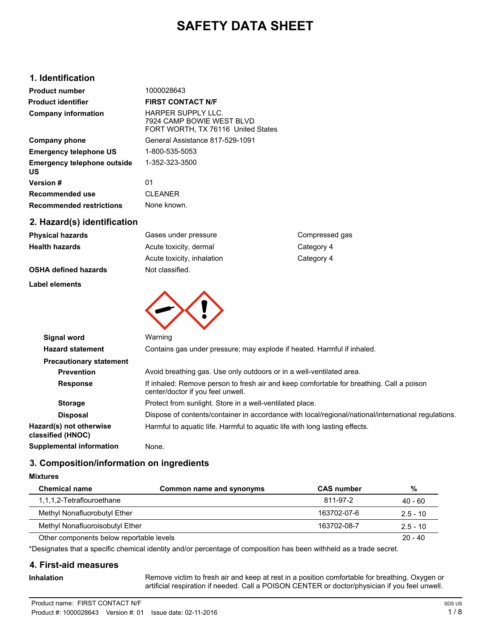# **SAFETY DATA SHEET**

## **1. Identification**

| <b>Product number</b>                    | 1000028643                                                                            |
|------------------------------------------|---------------------------------------------------------------------------------------|
| <b>Product identifier</b>                | <b>FIRST CONTACT N/F</b>                                                              |
| <b>Company information</b>               | HARPER SUPPLY LLC.<br>7924 CAMP BOWIE WEST BLVD<br>FORT WORTH, TX 76116 United States |
| Company phone                            | General Assistance 817-529-1091                                                       |
| <b>Emergency telephone US</b>            | 1-800-535-5053                                                                        |
| <b>Emergency telephone outside</b><br>US | 1-352-323-3500                                                                        |
| Version #                                | 01                                                                                    |
| Recommended use                          | <b>CLEANER</b>                                                                        |
| <b>Recommended restrictions</b>          | None known.                                                                           |
|                                          |                                                                                       |

## **2. Hazard(s) identification**

| Physical hazards               | Gases under pressure                                                    | Compressed gas                                                                          |
|--------------------------------|-------------------------------------------------------------------------|-----------------------------------------------------------------------------------------|
| Health hazards                 | Acute toxicity, dermal                                                  | Category 4                                                                              |
|                                | Acute toxicity, inhalation                                              | Category 4                                                                              |
| <b>OSHA defined hazards</b>    | Not classified.                                                         |                                                                                         |
| Label elements                 |                                                                         |                                                                                         |
| Signal word                    | Warning                                                                 |                                                                                         |
| <b>Hazard statement</b>        | Contains gas under pressure; may explode if heated. Harmful if inhaled. |                                                                                         |
| <b>Precautionary statement</b> |                                                                         |                                                                                         |
| <b>Prevention</b>              | Avoid breathing gas. Use only outdoors or in a well-ventilated area.    |                                                                                         |
| <b>Response</b>                | center/doctor if you feel unwell.                                       | If inhaled: Remove person to fresh air and keep comfortable for breathing. Call a point |
|                                |                                                                         |                                                                                         |

| - - - - - - - - - -                          |                                                                                                                               |
|----------------------------------------------|-------------------------------------------------------------------------------------------------------------------------------|
| <b>Hazard statement</b>                      | Contains gas under pressure; may explode if heated. Harmful if inhaled.                                                       |
| <b>Precautionary statement</b>               |                                                                                                                               |
| <b>Prevention</b>                            | Avoid breathing gas. Use only outdoors or in a well-ventilated area.                                                          |
| <b>Response</b>                              | If inhaled: Remove person to fresh air and keep comfortable for breathing. Call a poison<br>center/doctor if you feel unwell. |
| <b>Storage</b>                               | Protect from sunlight. Store in a well-ventilated place.                                                                      |
| <b>Disposal</b>                              | Dispose of contents/container in accordance with local/regional/national/international regulations.                           |
| Hazard(s) not otherwise<br>classified (HNOC) | Harmful to aguatic life. Harmful to aguatic life with long lasting effects.                                                   |
| <b>Supplemental information</b>              | None.                                                                                                                         |
|                                              |                                                                                                                               |

## **3. Composition/information on ingredients**

### **Mixtures**

| <b>Chemical name</b>                     | Common name and synonyms | <b>CAS number</b> | %          |
|------------------------------------------|--------------------------|-------------------|------------|
| 1,1,1,2-Tetraflouroethane                |                          | 811-97-2          | $40 - 60$  |
| Methyl Nonafluorobutyl Ether             |                          | 163702-07-6       | $2.5 - 10$ |
| Methyl Nonafluoroisobutyl Ether          |                          | 163702-08-7       | $2.5 - 10$ |
| Other components below reportable levels |                          |                   | $20 - 40$  |

\*Designates that a specific chemical identity and/or percentage of composition has been withheld as a trade secret.

## **4. First-aid measures**

**Inhalation**

Remove victim to fresh air and keep at rest in a position comfortable for breathing. Oxygen or artificial respiration if needed. Call a POISON CENTER or doctor/physician if you feel unwell.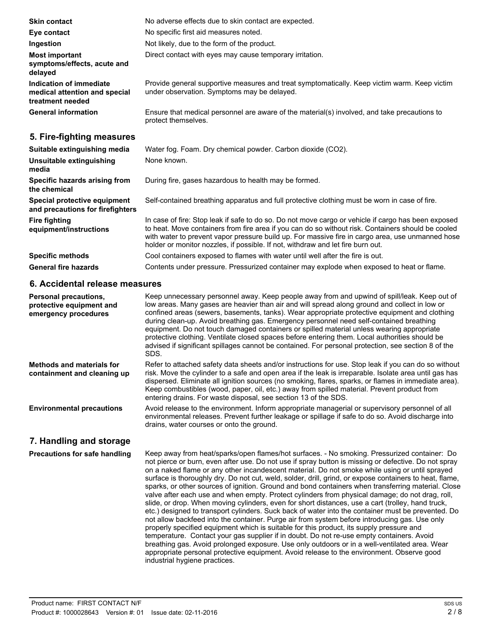| <b>Skin contact</b>                                                          | No adverse effects due to skin contact are expected.                                                                                                                                                                                                                                                                                                                                             |
|------------------------------------------------------------------------------|--------------------------------------------------------------------------------------------------------------------------------------------------------------------------------------------------------------------------------------------------------------------------------------------------------------------------------------------------------------------------------------------------|
| Eye contact                                                                  | No specific first aid measures noted.                                                                                                                                                                                                                                                                                                                                                            |
| Ingestion                                                                    | Not likely, due to the form of the product.                                                                                                                                                                                                                                                                                                                                                      |
| <b>Most important</b><br>symptoms/effects, acute and<br>delayed              | Direct contact with eyes may cause temporary irritation.                                                                                                                                                                                                                                                                                                                                         |
| Indication of immediate<br>medical attention and special<br>treatment needed | Provide general supportive measures and treat symptomatically. Keep victim warm. Keep victim<br>under observation. Symptoms may be delayed.                                                                                                                                                                                                                                                      |
| <b>General information</b>                                                   | Ensure that medical personnel are aware of the material(s) involved, and take precautions to<br>protect themselves.                                                                                                                                                                                                                                                                              |
| 5. Fire-fighting measures                                                    |                                                                                                                                                                                                                                                                                                                                                                                                  |
| Suitable extinguishing media                                                 | Water fog. Foam. Dry chemical powder. Carbon dioxide (CO2).                                                                                                                                                                                                                                                                                                                                      |
| Unsuitable extinguishing<br>media                                            | None known.                                                                                                                                                                                                                                                                                                                                                                                      |
| Specific hazards arising from<br>the chemical                                | During fire, gases hazardous to health may be formed.                                                                                                                                                                                                                                                                                                                                            |
| Special protective equipment<br>and precautions for firefighters             | Self-contained breathing apparatus and full protective clothing must be worn in case of fire.                                                                                                                                                                                                                                                                                                    |
| <b>Fire fighting</b><br>equipment/instructions                               | In case of fire: Stop leak if safe to do so. Do not move cargo or vehicle if cargo has been exposed<br>to heat. Move containers from fire area if you can do so without risk. Containers should be cooled<br>with water to prevent vapor pressure build up. For massive fire in cargo area, use unmanned hose<br>holder or monitor nozzles, if possible. If not, withdraw and let fire burn out. |
| <b>Specific methods</b>                                                      | Cool containers exposed to flames with water until well after the fire is out.                                                                                                                                                                                                                                                                                                                   |

**General fire hazards** Contents under pressure. Pressurized container may explode when exposed to heat or flame.

## **6. Accidental release measures**

| <b>Personal precautions,</b><br>protective equipment and<br>emergency procedures | Keep unnecessary personnel away. Keep people away from and upwind of spill/leak. Keep out of<br>low areas. Many gases are heavier than air and will spread along ground and collect in low or<br>confined areas (sewers, basements, tanks). Wear appropriate protective equipment and clothing<br>during clean-up. Avoid breathing gas. Emergency personnel need self-contained breathing<br>equipment. Do not touch damaged containers or spilled material unless wearing appropriate<br>protective clothing. Ventilate closed spaces before entering them. Local authorities should be<br>advised if significant spillages cannot be contained. For personal protection, see section 8 of the<br>SDS. |
|----------------------------------------------------------------------------------|---------------------------------------------------------------------------------------------------------------------------------------------------------------------------------------------------------------------------------------------------------------------------------------------------------------------------------------------------------------------------------------------------------------------------------------------------------------------------------------------------------------------------------------------------------------------------------------------------------------------------------------------------------------------------------------------------------|
| Methods and materials for<br>containment and cleaning up                         | Refer to attached safety data sheets and/or instructions for use. Stop leak if you can do so without<br>risk. Move the cylinder to a safe and open area if the leak is irreparable. Isolate area until gas has<br>dispersed. Eliminate all ignition sources (no smoking, flares, sparks, or flames in immediate area).<br>Keep combustibles (wood, paper, oil, etc.) away from spilled material. Prevent product from<br>entering drains. For waste disposal, see section 13 of the SDS.                                                                                                                                                                                                                |
| <b>Environmental precautions</b>                                                 | Avoid release to the environment. Inform appropriate managerial or supervisory personnel of all<br>environmental releases. Prevent further leakage or spillage if safe to do so. Avoid discharge into<br>drains, water courses or onto the ground.                                                                                                                                                                                                                                                                                                                                                                                                                                                      |

# **7. Handling and storage**

**Precautions for safe handling**

Keep away from heat/sparks/open flames/hot surfaces. - No smoking. Pressurized container: Do not pierce or burn, even after use. Do not use if spray button is missing or defective. Do not spray on a naked flame or any other incandescent material. Do not smoke while using or until sprayed surface is thoroughly dry. Do not cut, weld, solder, drill, grind, or expose containers to heat, flame, sparks, or other sources of ignition. Ground and bond containers when transferring material. Close valve after each use and when empty. Protect cylinders from physical damage; do not drag, roll, slide, or drop. When moving cylinders, even for short distances, use a cart (trolley, hand truck, etc.) designed to transport cylinders. Suck back of water into the container must be prevented. Do not allow backfeed into the container. Purge air from system before introducing gas. Use only properly specified equipment which is suitable for this product, its supply pressure and temperature. Contact your gas supplier if in doubt. Do not re-use empty containers. Avoid breathing gas. Avoid prolonged exposure. Use only outdoors or in a well-ventilated area. Wear appropriate personal protective equipment. Avoid release to the environment. Observe good industrial hygiene practices.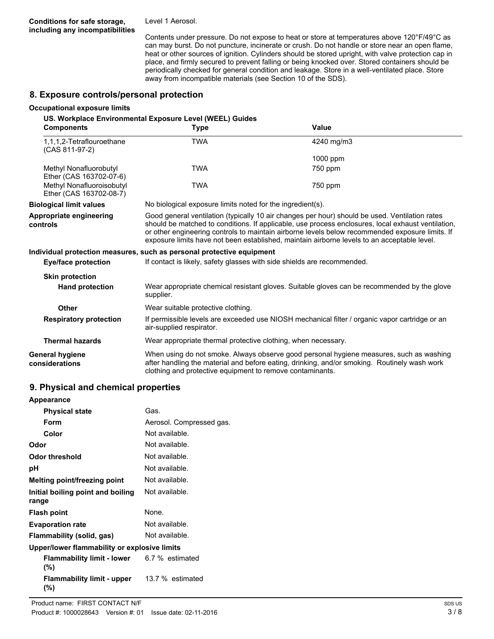Level 1 Aerosol.

Contents under pressure. Do not expose to heat or store at temperatures above 120°F/49°C as can may burst. Do not puncture, incinerate or crush. Do not handle or store near an open flame, heat or other sources of ignition. Cylinders should be stored upright, with valve protection cap in place, and firmly secured to prevent falling or being knocked over. Stored containers should be periodically checked for general condition and leakage. Store in a well-ventilated place. Store away from incompatible materials (see Section 10 of the SDS).

## **8. Exposure controls/personal protection**

#### **Occupational exposure limits**

**US. Workplace Environmental Exposure Level (WEEL) Guides**

| <b>Components</b>                                    | Type                                                                                                                                                                                                                                                                                                                                                                                                   | Value                                                                                                                                                                                   |
|------------------------------------------------------|--------------------------------------------------------------------------------------------------------------------------------------------------------------------------------------------------------------------------------------------------------------------------------------------------------------------------------------------------------------------------------------------------------|-----------------------------------------------------------------------------------------------------------------------------------------------------------------------------------------|
| 1,1,1,2-Tetraflouroethane<br>(CAS 811-97-2)          | <b>TWA</b>                                                                                                                                                                                                                                                                                                                                                                                             | 4240 mg/m3                                                                                                                                                                              |
|                                                      |                                                                                                                                                                                                                                                                                                                                                                                                        | 1000 ppm                                                                                                                                                                                |
| Methyl Nonafluorobutyl<br>Ether (CAS 163702-07-6)    | TWA                                                                                                                                                                                                                                                                                                                                                                                                    | 750 ppm                                                                                                                                                                                 |
| Methyl Nonafluoroisobutyl<br>Ether (CAS 163702-08-7) | TWA                                                                                                                                                                                                                                                                                                                                                                                                    | 750 ppm                                                                                                                                                                                 |
| <b>Biological limit values</b>                       | No biological exposure limits noted for the ingredient(s).                                                                                                                                                                                                                                                                                                                                             |                                                                                                                                                                                         |
| Appropriate engineering<br>controls                  | Good general ventilation (typically 10 air changes per hour) should be used. Ventilation rates<br>should be matched to conditions. If applicable, use process enclosures, local exhaust ventilation,<br>or other engineering controls to maintain airborne levels below recommended exposure limits. If<br>exposure limits have not been established, maintain airborne levels to an acceptable level. |                                                                                                                                                                                         |
|                                                      | Individual protection measures, such as personal protective equipment                                                                                                                                                                                                                                                                                                                                  |                                                                                                                                                                                         |
| <b>Eye/face protection</b>                           | If contact is likely, safety glasses with side shields are recommended.                                                                                                                                                                                                                                                                                                                                |                                                                                                                                                                                         |
| <b>Skin protection</b>                               |                                                                                                                                                                                                                                                                                                                                                                                                        |                                                                                                                                                                                         |
| <b>Hand protection</b>                               | Wear appropriate chemical resistant gloves. Suitable gloves can be recommended by the glove<br>supplier.                                                                                                                                                                                                                                                                                               |                                                                                                                                                                                         |
| <b>Other</b>                                         | Wear suitable protective clothing.                                                                                                                                                                                                                                                                                                                                                                     |                                                                                                                                                                                         |
| <b>Respiratory protection</b>                        | air-supplied respirator.                                                                                                                                                                                                                                                                                                                                                                               | If permissible levels are exceeded use NIOSH mechanical filter / organic vapor cartridge or an                                                                                          |
| <b>Thermal hazards</b>                               | Wear appropriate thermal protective clothing, when necessary.                                                                                                                                                                                                                                                                                                                                          |                                                                                                                                                                                         |
| <b>General hygiene</b><br>considerations             | clothing and protective equipment to remove contaminants.                                                                                                                                                                                                                                                                                                                                              | When using do not smoke. Always observe good personal hygiene measures, such as washing<br>after handling the material and before eating, drinking, and/or smoking. Routinely wash work |

## **9. Physical and chemical properties**

| Appearance                                   |                          |  |
|----------------------------------------------|--------------------------|--|
| <b>Physical state</b>                        | Gas.                     |  |
| Form                                         | Aerosol. Compressed gas. |  |
| Color                                        | Not available            |  |
| Odor                                         | Not available.           |  |
| <b>Odor threshold</b>                        | Not available.           |  |
| рH                                           | Not available.           |  |
| Melting point/freezing point                 | Not available.           |  |
| Initial boiling point and boiling<br>range   | Not available.           |  |
| <b>Flash point</b>                           | None.                    |  |
| <b>Evaporation rate</b>                      | Not available.           |  |
| Flammability (solid, gas)                    | Not available.           |  |
| Upper/lower flammability or explosive limits |                          |  |
| Flammability limit - lower<br>(%)            | 6.7 % estimated          |  |
| <b>Flammability limit - upper</b><br>$(\%)$  | 13.7 % estimated         |  |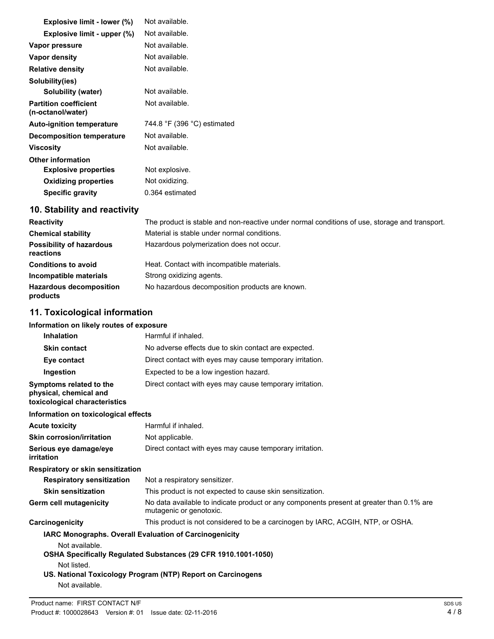| Explosive limit - lower (%)                       | Not available.              |
|---------------------------------------------------|-----------------------------|
| Explosive limit - upper (%)                       | Not available.              |
| Vapor pressure                                    | Not available.              |
| Vapor density                                     | Not available.              |
| <b>Relative density</b>                           | Not available.              |
| Solubility(ies)                                   |                             |
| Solubility (water)                                | Not available.              |
| <b>Partition coefficient</b><br>(n-octanol/water) | Not available.              |
|                                                   |                             |
| <b>Auto-ignition temperature</b>                  | 744.8 °F (396 °C) estimated |
| <b>Decomposition temperature</b>                  | Not available.              |
| Viscosity                                         | Not available.              |
| <b>Other information</b>                          |                             |
| <b>Explosive properties</b>                       | Not explosive.              |
| <b>Oxidizing properties</b>                       | Not oxidizing.              |
| <b>Specific gravity</b>                           | 0.364 estimated             |
|                                                   |                             |

# **10. Stability and reactivity**

| <b>Reactivity</b>                            | The product is stable and non-reactive under normal conditions of use, storage and transport. |
|----------------------------------------------|-----------------------------------------------------------------------------------------------|
| <b>Chemical stability</b>                    | Material is stable under normal conditions.                                                   |
| <b>Possibility of hazardous</b><br>reactions | Hazardous polymerization does not occur.                                                      |
| <b>Conditions to avoid</b>                   | Heat. Contact with incompatible materials.                                                    |
| Incompatible materials                       | Strong oxidizing agents.                                                                      |
| <b>Hazardous decomposition</b><br>products   | No hazardous decomposition products are known.                                                |

# **11. Toxicological information**

## **Information on likely routes of exposure**

| <b>Inhalation</b>                                                                  | Harmful if inhaled.                                                                                                 |
|------------------------------------------------------------------------------------|---------------------------------------------------------------------------------------------------------------------|
| <b>Skin contact</b>                                                                | No adverse effects due to skin contact are expected.                                                                |
| Eye contact                                                                        | Direct contact with eyes may cause temporary irritation.                                                            |
| Ingestion                                                                          | Expected to be a low ingestion hazard.                                                                              |
| Symptoms related to the<br>physical, chemical and<br>toxicological characteristics | Direct contact with eyes may cause temporary irritation.                                                            |
| Information on toxicological effects                                               |                                                                                                                     |
| <b>Acute toxicity</b>                                                              | Harmful if inhaled.                                                                                                 |
| <b>Skin corrosion/irritation</b>                                                   | Not applicable.                                                                                                     |
| Serious eye damage/eye<br>irritation                                               | Direct contact with eyes may cause temporary irritation.                                                            |
| Respiratory or skin sensitization                                                  |                                                                                                                     |
| <b>Respiratory sensitization</b>                                                   | Not a respiratory sensitizer.                                                                                       |
| <b>Skin sensitization</b>                                                          | This product is not expected to cause skin sensitization.                                                           |
| Germ cell mutagenicity                                                             | No data available to indicate product or any components present at greater than 0.1% are<br>mutagenic or genotoxic. |
| Carcinogenicity                                                                    | This product is not considered to be a carcinogen by IARC, ACGIH, NTP, or OSHA.                                     |
| IARC Monographs. Overall Evaluation of Carcinogenicity<br>Not available.           |                                                                                                                     |
|                                                                                    | OSHA Specifically Regulated Substances (29 CFR 1910.1001-1050)                                                      |
| Not listed.<br>Not available.                                                      | US. National Toxicology Program (NTP) Report on Carcinogens                                                         |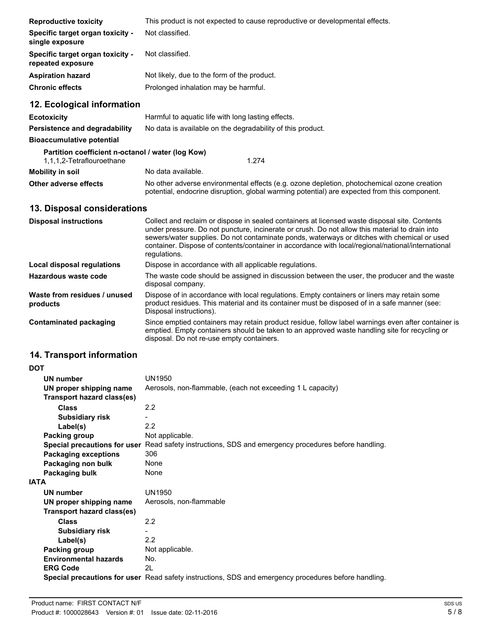| <b>Reproductive toxicity</b>                                                   | This product is not expected to cause reproductive or developmental effects.                                                                                                                                                                                                                                                                                                                                        |
|--------------------------------------------------------------------------------|---------------------------------------------------------------------------------------------------------------------------------------------------------------------------------------------------------------------------------------------------------------------------------------------------------------------------------------------------------------------------------------------------------------------|
| <b>Specific target organ toxicity -</b><br>single exposure                     | Not classified.                                                                                                                                                                                                                                                                                                                                                                                                     |
| <b>Specific target organ toxicity -</b><br>repeated exposure                   | Not classified.                                                                                                                                                                                                                                                                                                                                                                                                     |
| Aspiration hazard                                                              | Not likely, due to the form of the product.                                                                                                                                                                                                                                                                                                                                                                         |
| <b>Chronic effects</b>                                                         | Prolonged inhalation may be harmful.                                                                                                                                                                                                                                                                                                                                                                                |
| 12. Ecological information                                                     |                                                                                                                                                                                                                                                                                                                                                                                                                     |
| Ecotoxicity                                                                    | Harmful to aquatic life with long lasting effects.                                                                                                                                                                                                                                                                                                                                                                  |
| Persistence and degradability                                                  | No data is available on the degradability of this product.                                                                                                                                                                                                                                                                                                                                                          |
| <b>Bioaccumulative potential</b>                                               |                                                                                                                                                                                                                                                                                                                                                                                                                     |
| Partition coefficient n-octanol / water (log Kow)<br>1,1,1,2-Tetraflouroethane | 1.274                                                                                                                                                                                                                                                                                                                                                                                                               |
| <b>Mobility in soil</b>                                                        | No data available.                                                                                                                                                                                                                                                                                                                                                                                                  |
| Other adverse effects                                                          | No other adverse environmental effects (e.g. ozone depletion, photochemical ozone creation<br>potential, endocrine disruption, global warming potential) are expected from this component.                                                                                                                                                                                                                          |
| 13. Disposal considerations                                                    |                                                                                                                                                                                                                                                                                                                                                                                                                     |
| <b>Disposal instructions</b>                                                   | Collect and reclaim or dispose in sealed containers at licensed waste disposal site. Contents<br>under pressure. Do not puncture, incinerate or crush. Do not allow this material to drain into<br>sewers/water supplies. Do not contaminate ponds, waterways or ditches with chemical or used<br>container. Dispose of contents/container in accordance with local/regional/national/international<br>regulations. |
| Local disposal regulations                                                     | Dispose in accordance with all applicable regulations.                                                                                                                                                                                                                                                                                                                                                              |
| Hazardous waste code                                                           | The waste code should be assigned in discussion between the user, the producer and the waste<br>disposal company.                                                                                                                                                                                                                                                                                                   |
| Waste from residues / unused<br>products                                       | Dispose of in accordance with local regulations. Empty containers or liners may retain some<br>product residues. This material and its container must be disposed of in a safe manner (see:<br>Disposal instructions).                                                                                                                                                                                              |
| <b>Contaminated packaging</b>                                                  | Since emptied containers may retain product residue, follow label warnings even after container is<br>emptied. Empty containers should be taken to an approved waste handling site for recycling or<br>disposal. Do not re-use empty containers.                                                                                                                                                                    |
| 14. Transport information                                                      |                                                                                                                                                                                                                                                                                                                                                                                                                     |
| DOT                                                                            |                                                                                                                                                                                                                                                                                                                                                                                                                     |
| <b>UN number</b>                                                               | <b>UN1950</b>                                                                                                                                                                                                                                                                                                                                                                                                       |
| UN proper shipping name                                                        | Aerosols, non-flammable, (each not exceeding 1 L capacity)                                                                                                                                                                                                                                                                                                                                                          |
| <b>Transport hazard class(es)</b>                                              |                                                                                                                                                                                                                                                                                                                                                                                                                     |
| <b>Class</b>                                                                   | 2.2                                                                                                                                                                                                                                                                                                                                                                                                                 |
| <b>Subsidiary risk</b>                                                         | $\overline{\phantom{0}}$                                                                                                                                                                                                                                                                                                                                                                                            |
| Label(s)                                                                       | 2.2                                                                                                                                                                                                                                                                                                                                                                                                                 |
| Packing group                                                                  | Not applicable.                                                                                                                                                                                                                                                                                                                                                                                                     |
|                                                                                | Special precautions for user Read safety instructions, SDS and emergency procedures before handling.                                                                                                                                                                                                                                                                                                                |
| <b>Packaging exceptions</b>                                                    | 306                                                                                                                                                                                                                                                                                                                                                                                                                 |
| Packaging non bulk                                                             | None                                                                                                                                                                                                                                                                                                                                                                                                                |

| <b>Fachaying non buin</b>    | 110116                                                                                               |
|------------------------------|------------------------------------------------------------------------------------------------------|
| Packaging bulk               | None                                                                                                 |
| \TA                          |                                                                                                      |
| UN number                    | UN1950                                                                                               |
| UN proper shipping name      | Aerosols, non-flammable                                                                              |
| Transport hazard class(es)   |                                                                                                      |
| Class                        | 2.2                                                                                                  |
| <b>Subsidiary risk</b>       |                                                                                                      |
| Label(s)                     | 2.2                                                                                                  |
| Packing group                | Not applicable.                                                                                      |
| <b>Environmental hazards</b> | No.                                                                                                  |
| <b>ERG Code</b>              | 2L                                                                                                   |
|                              | Special precautions for user Read safety instructions, SDS and emergency procedures before handling. |
|                              |                                                                                                      |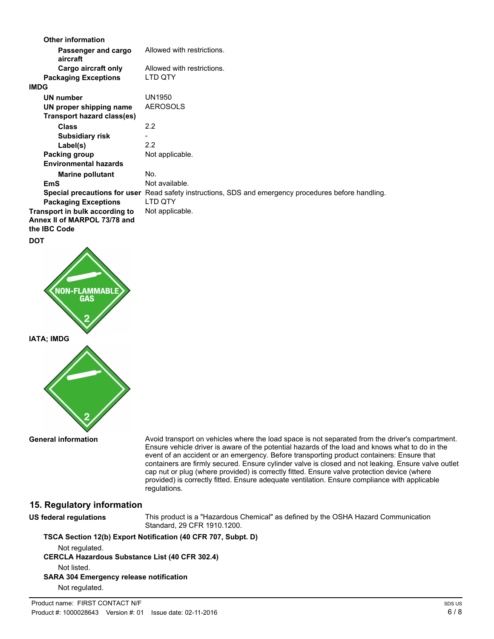| <b>Other information</b>        |                                                                                                      |
|---------------------------------|------------------------------------------------------------------------------------------------------|
| Passenger and cargo<br>aircraft | Allowed with restrictions.                                                                           |
| Cargo aircraft only             | Allowed with restrictions.                                                                           |
| <b>Packaging Exceptions</b>     | LTD QTY                                                                                              |
| <b>IMDG</b>                     |                                                                                                      |
| UN number                       | UN1950                                                                                               |
| UN proper shipping name         | <b>AEROSOLS</b>                                                                                      |
| Transport hazard class(es)      |                                                                                                      |
| <b>Class</b>                    | 2.2                                                                                                  |
| <b>Subsidiary risk</b>          |                                                                                                      |
| Label(s)                        | 2.2                                                                                                  |
| Packing group                   | Not applicable.                                                                                      |
| <b>Environmental hazards</b>    |                                                                                                      |
| <b>Marine pollutant</b>         | No.                                                                                                  |
| <b>EmS</b>                      | Not available.                                                                                       |
|                                 | Special precautions for user Read safety instructions, SDS and emergency procedures before handling. |
| <b>Packaging Exceptions</b>     | LTD QTY                                                                                              |
| Transport in bulk according to  | Not applicable.                                                                                      |
| Annex II of MARPOL 73/78 and    |                                                                                                      |
| the <b>IBC</b> Code             |                                                                                                      |
| <b>DOT</b>                      |                                                                                                      |



**General information**

Avoid transport on vehicles where the load space is not separated from the driver's compartment. Ensure vehicle driver is aware of the potential hazards of the load and knows what to do in the event of an accident or an emergency. Before transporting product containers: Ensure that containers are firmly secured. Ensure cylinder valve is closed and not leaking. Ensure valve outlet cap nut or plug (where provided) is correctly fitted. Ensure valve protection device (where provided) is correctly fitted. Ensure adequate ventilation. Ensure compliance with applicable regulations.

## **15. Regulatory information**

**US federal regulations**

This product is a "Hazardous Chemical" as defined by the OSHA Hazard Communication Standard, 29 CFR 1910.1200.

**TSCA Section 12(b) Export Notification (40 CFR 707, Subpt. D)**

Not regulated.

**CERCLA Hazardous Substance List (40 CFR 302.4)** Not listed.

**SARA 304 Emergency release notification**

Not regulated.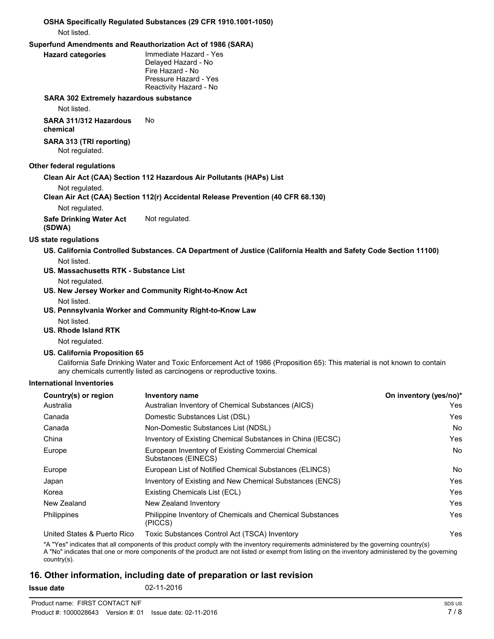### **OSHA Specifically Regulated Substances (29 CFR 1910.1001-1050)** Not listed.

#### **Superfund Amendments and Reauthorization Act of 1986 (SARA)**

#### **Hazard categories**

Immediate Hazard - Yes Delayed Hazard - No Fire Hazard - No Pressure Hazard - Yes Reactivity Hazard - No

#### **SARA 302 Extremely hazardous substance**

Not listed.

**SARA 311/312 Hazardous** No **chemical**

#### **SARA 313 (TRI reporting)** Not regulated.

### **Other federal regulations**

## **Clean Air Act (CAA) Section 112 Hazardous Air Pollutants (HAPs) List**

Not regulated.

### **Clean Air Act (CAA) Section 112(r) Accidental Release Prevention (40 CFR 68.130)**

Not regulated.

**Safe Drinking Water Act** Not regulated.

**(SDWA)**

## **US state regulations**

- **US. California Controlled Substances. CA Department of Justice (California Health and Safety Code Section 11100)** Not listed.
- **US. Massachusetts RTK Substance List**

Not regulated.

- **US. New Jersey Worker and Community Right-to-Know Act**
	- Not listed.
- **US. Pennsylvania Worker and Community Right-to-Know Law**
	- Not listed.
- **US. Rhode Island RTK**

Not regulated.

## **US. California Proposition 65**

California Safe Drinking Water and Toxic Enforcement Act of 1986 (Proposition 65): This material is not known to contain any chemicals currently listed as carcinogens or reproductive toxins.

## **International Inventories**

| Country(s) or region        | <b>Inventory name</b>                                                     | On inventory (yes/no)* |
|-----------------------------|---------------------------------------------------------------------------|------------------------|
| Australia                   | Australian Inventory of Chemical Substances (AICS)                        | Yes                    |
| Canada                      | Domestic Substances List (DSL)                                            | Yes                    |
| Canada                      | Non-Domestic Substances List (NDSL)                                       | <b>No</b>              |
| China                       | Inventory of Existing Chemical Substances in China (IECSC)                | Yes                    |
| Europe                      | European Inventory of Existing Commercial Chemical<br>Substances (EINECS) | No.                    |
| Europe                      | European List of Notified Chemical Substances (ELINCS)                    | No.                    |
| Japan                       | Inventory of Existing and New Chemical Substances (ENCS)                  | Yes                    |
| Korea                       | Existing Chemicals List (ECL)                                             | Yes                    |
| New Zealand                 | New Zealand Inventory                                                     | Yes                    |
| <b>Philippines</b>          | Philippine Inventory of Chemicals and Chemical Substances<br>(PICCS)      | Yes                    |
| United States & Puerto Rico | Toxic Substances Control Act (TSCA) Inventory                             | Yes                    |

\*A "Yes" indicates that all components of this product comply with the inventory requirements administered by the governing country(s) A "No" indicates that one or more components of the product are not listed or exempt from listing on the inventory administered by the governing

## **16. Other information, including date of preparation or last revision**

country(s).

**Issue date** 02-11-2016